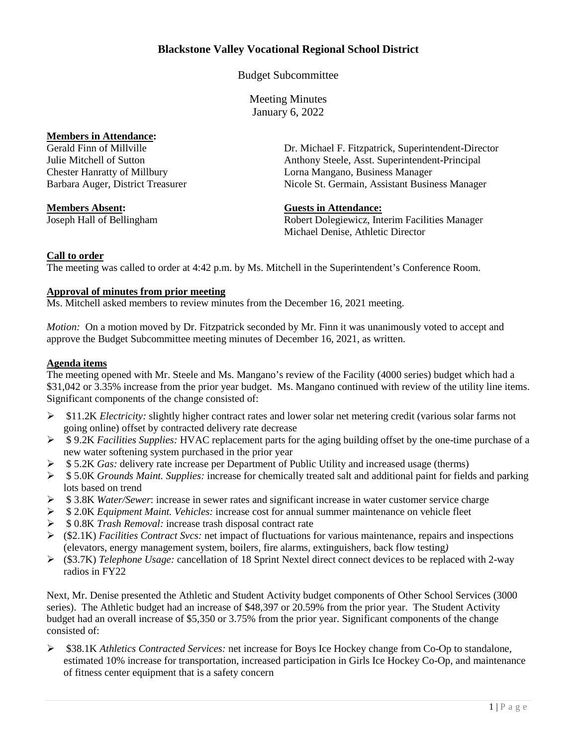# **Blackstone Valley Vocational Regional School District**

Budget Subcommittee

Meeting Minutes January 6, 2022

**Members in Attendance:**<br>Gerald Finn of Millville

Dr. Michael F. Fitzpatrick, Superintendent-Director Julie Mitchell of Sutton Anthony Steele, Asst. Superintendent-Principal Chester Hanratty of Millbury Lorna Mangano, Business Manager Barbara Auger, District Treasurer Nicole St. Germain, Assistant Business Manager

## **Members Absent: Guests in Attendance:**

Joseph Hall of Bellingham Robert Dolegiewicz, Interim Facilities Manager Michael Denise, Athletic Director

#### **Call to order**

The meeting was called to order at 4:42 p.m. by Ms. Mitchell in the Superintendent's Conference Room.

## **Approval of minutes from prior meeting**

Ms. Mitchell asked members to review minutes from the December 16, 2021 meeting.

*Motion:* On a motion moved by Dr. Fitzpatrick seconded by Mr. Finn it was unanimously voted to accept and approve the Budget Subcommittee meeting minutes of December 16, 2021, as written.

# **Agenda items**

The meeting opened with Mr. Steele and Ms. Mangano's review of the Facility (4000 series) budget which had a \$31,042 or 3.35% increase from the prior year budget. Ms. Mangano continued with review of the utility line items. Significant components of the change consisted of:

- $\geq$  \$11.2K *Electricity:* slightly higher contract rates and lower solar net metering credit (various solar farms not going online) offset by contracted delivery rate decrease
- \$ 9.2K *Facilities Supplies:* HVAC replacement parts for the aging building offset by the one-time purchase of a new water softening system purchased in the prior year
- \$ 5.2K *Gas:* delivery rate increase per Department of Public Utility and increased usage (therms)
- \$ 5.0K *Grounds Maint. Supplies:* increase for chemically treated salt and additional paint for fields and parking lots based on trend
- \$ 3.8K *Water/Sewer*: increase in sewer rates and significant increase in water customer service charge
- \$ 2.0K *Equipment Maint. Vehicles:* increase cost for annual summer maintenance on vehicle fleet
- \$ 0.8K *Trash Removal:* increase trash disposal contract rate
- (\$2.1K) *Facilities Contract Svcs:* net impact of fluctuations for various maintenance, repairs and inspections (elevators, energy management system, boilers, fire alarms, extinguishers, back flow testing*)*
- (\$3.7K) *Telephone Usage:* cancellation of 18 Sprint Nextel direct connect devices to be replaced with 2-way radios in FY22

Next, Mr. Denise presented the Athletic and Student Activity budget components of Other School Services (3000 series). The Athletic budget had an increase of \$48,397 or 20.59% from the prior year. The Student Activity budget had an overall increase of \$5,350 or 3.75% from the prior year. Significant components of the change consisted of:

 \$38.1K *Athletics Contracted Services:* net increase for Boys Ice Hockey change from Co-Op to standalone, estimated 10% increase for transportation, increased participation in Girls Ice Hockey Co-Op, and maintenance of fitness center equipment that is a safety concern